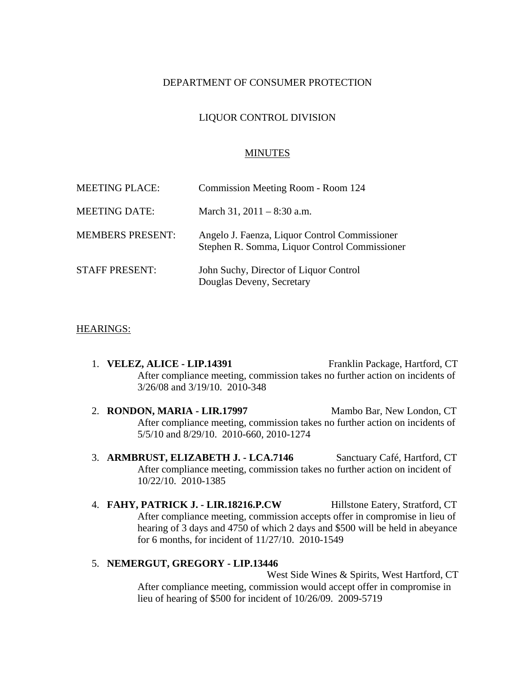## DEPARTMENT OF CONSUMER PROTECTION

## LIQUOR CONTROL DIVISION

#### MINUTES

| <b>MEETING PLACE:</b>   | Commission Meeting Room - Room 124                                                             |
|-------------------------|------------------------------------------------------------------------------------------------|
| <b>MEETING DATE:</b>    | March 31, $2011 - 8:30$ a.m.                                                                   |
| <b>MEMBERS PRESENT:</b> | Angelo J. Faenza, Liquor Control Commissioner<br>Stephen R. Somma, Liquor Control Commissioner |
| <b>STAFF PRESENT:</b>   | John Suchy, Director of Liquor Control<br>Douglas Deveny, Secretary                            |

#### HEARINGS:

- 1. **VELEZ, ALICE LIP.14391** Franklin Package, Hartford, CT After compliance meeting, commission takes no further action on incidents of 3/26/08 and 3/19/10. 2010-348
- 2. **RONDON, MARIA LIR.17997** Mambo Bar, New London, CT After compliance meeting, commission takes no further action on incidents of 5/5/10 and 8/29/10. 2010-660, 2010-1274
- 3. **ARMBRUST, ELIZABETH J. LCA.7146** Sanctuary Café, Hartford, CT After compliance meeting, commission takes no further action on incident of 10/22/10. 2010-1385
- 4. **FAHY, PATRICK J. LIR.18216.P.CW** Hillstone Eatery, Stratford, CT After compliance meeting, commission accepts offer in compromise in lieu of hearing of 3 days and 4750 of which 2 days and \$500 will be held in abeyance for 6 months, for incident of 11/27/10. 2010-1549

#### 5. **NEMERGUT, GREGORY - LIP.13446**

West Side Wines & Spirits, West Hartford, CT After compliance meeting, commission would accept offer in compromise in lieu of hearing of \$500 for incident of 10/26/09. 2009-5719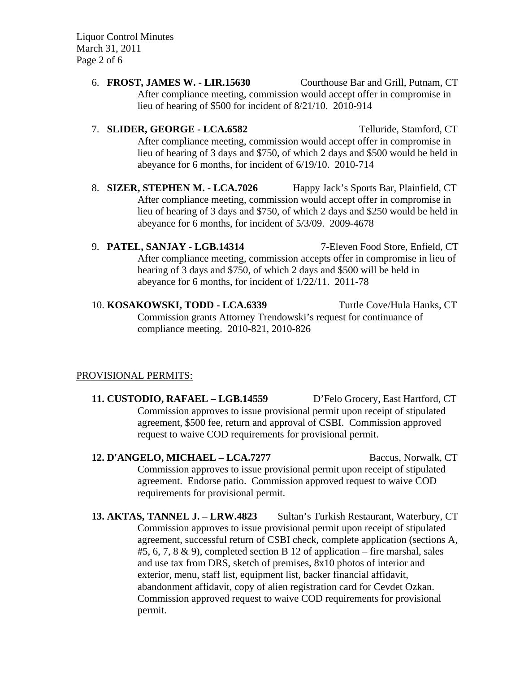Liquor Control Minutes March 31, 2011 Page 2 of 6

> 6. **FROST, JAMES W. - LIR.15630** Courthouse Bar and Grill, Putnam, CT After compliance meeting, commission would accept offer in compromise in lieu of hearing of \$500 for incident of 8/21/10. 2010-914

# 7. **SLIDER, GEORGE - LCA.6582** Telluride, Stamford, CT After compliance meeting, commission would accept offer in compromise in lieu of hearing of 3 days and \$750, of which 2 days and \$500 would be held in abeyance for 6 months, for incident of 6/19/10. 2010-714

- 8. **SIZER, STEPHEN M. LCA.7026** Happy Jack's Sports Bar, Plainfield, CT After compliance meeting, commission would accept offer in compromise in lieu of hearing of 3 days and \$750, of which 2 days and \$250 would be held in abeyance for 6 months, for incident of 5/3/09. 2009-4678
- 9. **PATEL, SANJAY LGB.14314** 7-Eleven Food Store, Enfield, CT After compliance meeting, commission accepts offer in compromise in lieu of hearing of 3 days and \$750, of which 2 days and \$500 will be held in abeyance for 6 months, for incident of 1/22/11. 2011-78
- 10. **KOSAKOWSKI, TODD LCA.6339** Turtle Cove/Hula Hanks, CT Commission grants Attorney Trendowski's request for continuance of compliance meeting. 2010-821, 2010-826

## PROVISIONAL PERMITS:

- **11. CUSTODIO, RAFAEL LGB.14559** D'Felo Grocery, East Hartford, CT Commission approves to issue provisional permit upon receipt of stipulated agreement, \$500 fee, return and approval of CSBI. Commission approved request to waive COD requirements for provisional permit.
- **12. D'ANGELO, MICHAEL LCA.7277** Baccus, Norwalk, CT Commission approves to issue provisional permit upon receipt of stipulated agreement. Endorse patio. Commission approved request to waive COD requirements for provisional permit.
- **13. AKTAS, TANNEL J. LRW.4823** Sultan's Turkish Restaurant, Waterbury, CT Commission approves to issue provisional permit upon receipt of stipulated agreement, successful return of CSBI check, complete application (sections A, #5, 6, 7, 8 & 9), completed section B 12 of application – fire marshal, sales and use tax from DRS, sketch of premises, 8x10 photos of interior and exterior, menu, staff list, equipment list, backer financial affidavit, abandonment affidavit, copy of alien registration card for Cevdet Ozkan. Commission approved request to waive COD requirements for provisional permit.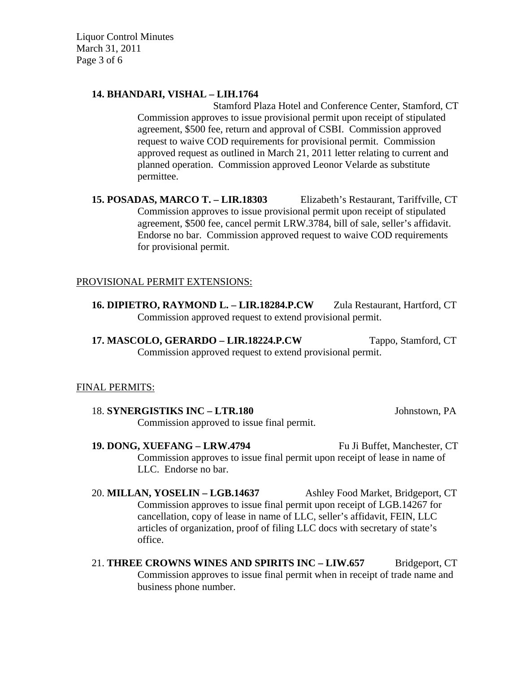Liquor Control Minutes March 31, 2011 Page 3 of 6

## **14. BHANDARI, VISHAL – LIH.1764**

Stamford Plaza Hotel and Conference Center, Stamford, CT Commission approves to issue provisional permit upon receipt of stipulated agreement, \$500 fee, return and approval of CSBI. Commission approved request to waive COD requirements for provisional permit. Commission approved request as outlined in March 21, 2011 letter relating to current and planned operation. Commission approved Leonor Velarde as substitute permittee.

**15. POSADAS, MARCO T. – LIR.18303** Elizabeth's Restaurant, Tariffville, CT Commission approves to issue provisional permit upon receipt of stipulated agreement, \$500 fee, cancel permit LRW.3784, bill of sale, seller's affidavit. Endorse no bar. Commission approved request to waive COD requirements for provisional permit.

## PROVISIONAL PERMIT EXTENSIONS:

16. **DIPIETRO, RAYMOND L. – LIR.18284.P.CW** Zula Restaurant, Hartford, CT Commission approved request to extend provisional permit.

**17. MASCOLO, GERARDO – LIR.18224.P.CW** Tappo, Stamford, CT Commission approved request to extend provisional permit.

#### FINAL PERMITS:

- 18. **SYNERGISTIKS INC LTR.180** Johnstown, PA Commission approved to issue final permit.
- **19. DONG, XUEFANG LRW.4794** Fu Ji Buffet, Manchester, CT Commission approves to issue final permit upon receipt of lease in name of LLC. Endorse no bar.
- 20. **MILLAN, YOSELIN LGB.14637** Ashley Food Market, Bridgeport, CT Commission approves to issue final permit upon receipt of LGB.14267 for cancellation, copy of lease in name of LLC, seller's affidavit, FEIN, LLC articles of organization, proof of filing LLC docs with secretary of state's office.
- 21. **THREE CROWNS WINES AND SPIRITS INC LIW.657** Bridgeport, CT Commission approves to issue final permit when in receipt of trade name and business phone number.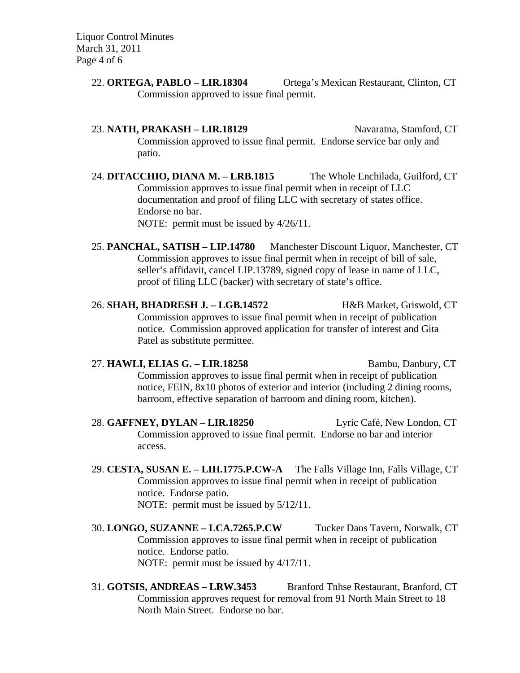Liquor Control Minutes March 31, 2011 Page 4 of 6

- 22. **ORTEGA, PABLO LIR.18304** Ortega's Mexican Restaurant, Clinton, CT Commission approved to issue final permit.
- 23. **NATH, PRAKASH LIR.18129** Navaratna, Stamford, CT Commission approved to issue final permit. Endorse service bar only and patio.
- 24. **DITACCHIO, DIANA M. LRB.1815** The Whole Enchilada, Guilford, CT Commission approves to issue final permit when in receipt of LLC documentation and proof of filing LLC with secretary of states office. Endorse no bar. NOTE: permit must be issued by 4/26/11.
- 25. **PANCHAL, SATISH LIP.14780** Manchester Discount Liquor, Manchester, CT Commission approves to issue final permit when in receipt of bill of sale, seller's affidavit, cancel LIP.13789, signed copy of lease in name of LLC, proof of filing LLC (backer) with secretary of state's office.
- 26. **SHAH, BHADRESH J. LGB.14572** H&B Market, Griswold, CT Commission approves to issue final permit when in receipt of publication notice. Commission approved application for transfer of interest and Gita Patel as substitute permittee.
- 27. **HAWLI, ELIAS G. LIR.18258** Bambu, Danbury, CT Commission approves to issue final permit when in receipt of publication notice, FEIN, 8x10 photos of exterior and interior (including 2 dining rooms, barroom, effective separation of barroom and dining room, kitchen).
- 28. **GAFFNEY, DYLAN LIR.18250** Lyric Café, New London, CT Commission approved to issue final permit. Endorse no bar and interior access.
- 29. **CESTA, SUSAN E. LIH.1775.P.CW-A** The Falls Village Inn, Falls Village, CT Commission approves to issue final permit when in receipt of publication notice. Endorse patio. NOTE: permit must be issued by 5/12/11.
- 30. **LONGO, SUZANNE LCA.7265.P.CW** Tucker Dans Tavern, Norwalk, CT Commission approves to issue final permit when in receipt of publication notice. Endorse patio. NOTE: permit must be issued by 4/17/11.
- 31. **GOTSIS, ANDREAS LRW.3453** Branford Tnhse Restaurant, Branford, CT Commission approves request for removal from 91 North Main Street to 18 North Main Street. Endorse no bar.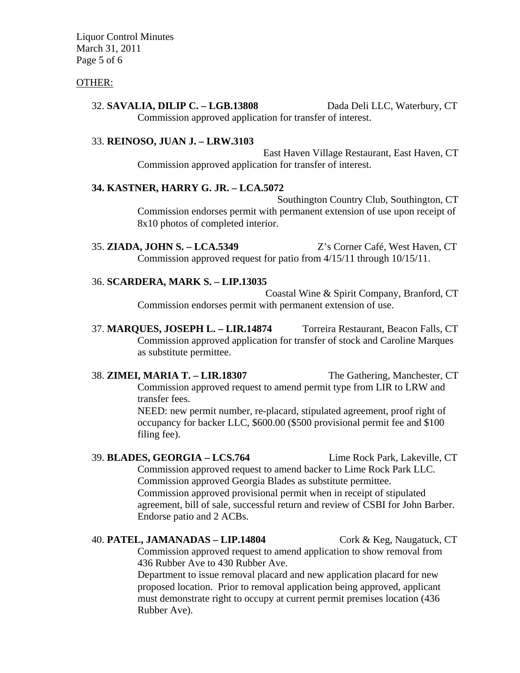Liquor Control Minutes March 31, 2011 Page 5 of 6

## OTHER:

## 32. **SAVALIA, DILIP C. – LGB.13808** Dada Deli LLC, Waterbury, CT Commission approved application for transfer of interest.

#### 33. **REINOSO, JUAN J. – LRW.3103**

East Haven Village Restaurant, East Haven, CT Commission approved application for transfer of interest.

## **34. KASTNER, HARRY G. JR. – LCA.5072**

Southington Country Club, Southington, CT Commission endorses permit with permanent extension of use upon receipt of 8x10 photos of completed interior.

35. **ZIADA, JOHN S. – LCA.5349** Z's Corner Café, West Haven, CT Commission approved request for patio from 4/15/11 through 10/15/11.

## 36. **SCARDERA, MARK S. – LIP.13035**

Coastal Wine & Spirit Company, Branford, CT Commission endorses permit with permanent extension of use.

37. **MARQUES, JOSEPH L. – LIR.14874** Torreira Restaurant, Beacon Falls, CT Commission approved application for transfer of stock and Caroline Marques as substitute permittee.

#### 38. **ZIMEI, MARIA T. – LIR.18307** The Gathering, Manchester, CT

Commission approved request to amend permit type from LIR to LRW and transfer fees. NEED: new permit number, re-placard, stipulated agreement, proof right of

occupancy for backer LLC, \$600.00 (\$500 provisional permit fee and \$100 filing fee).

39. **BLADES, GEORGIA – LCS.764** Lime Rock Park, Lakeville, CT Commission approved request to amend backer to Lime Rock Park LLC. Commission approved Georgia Blades as substitute permittee. Commission approved provisional permit when in receipt of stipulated agreement, bill of sale, successful return and review of CSBI for John Barber. Endorse patio and 2 ACBs.

#### 40. **PATEL, JAMANADAS – LIP.14804** Cork & Keg, Naugatuck, CT

Commission approved request to amend application to show removal from 436 Rubber Ave to 430 Rubber Ave.

Department to issue removal placard and new application placard for new proposed location. Prior to removal application being approved, applicant must demonstrate right to occupy at current permit premises location (436 Rubber Ave).